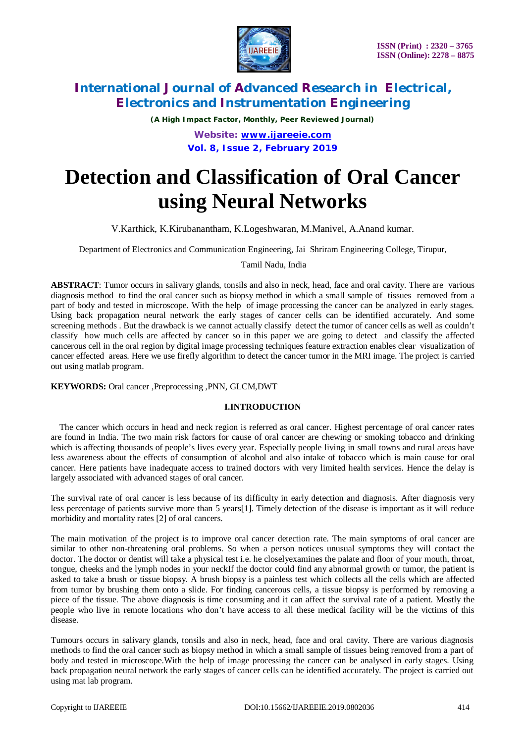

*(A High Impact Factor, Monthly, Peer Reviewed Journal)*

*Website: [www.ijareeie.com](http://www.ijareeie.com)* **Vol. 8, Issue 2, February 2019**

# **Detection and Classification of Oral Cancer using Neural Networks**

V.Karthick, K.Kirubanantham, K.Logeshwaran, M.Manivel, A.Anand kumar.

Department of Electronics and Communication Engineering, Jai Shriram Engineering College, Tirupur,

Tamil Nadu, India

**ABSTRACT**: Tumor occurs in salivary glands, tonsils and also in neck, head, face and oral cavity. There are various diagnosis method to find the oral cancer such as biopsy method in which a small sample of tissues removed from a part of body and tested in microscope. With the help of image processing the cancer can be analyzed in early stages. Using back propagation neural network the early stages of cancer cells can be identified accurately. And some screening methods . But the drawback is we cannot actually classify detect the tumor of cancer cells as well as couldn't classify how much cells are affected by cancer so in this paper we are going to detect and classify the affected cancerous cell in the oral region by digital image processing techniques feature extraction enables clear visualization of cancer effected areas. Here we use firefly algorithm to detect the cancer tumor in the MRI image. The project is carried out using matlab program.

**KEYWORDS:** Oral cancer ,Preprocessing ,PNN, GLCM,DWT

#### **I.INTRODUCTION**

The cancer which occurs in head and neck region is referred as oral cancer. Highest percentage of oral cancer rates are found in India. The two main risk factors for cause of oral cancer are chewing or smoking tobacco and drinking which is affecting thousands of people's lives every year. Especially people living in small towns and rural areas have less awareness about the effects of consumption of alcohol and also intake of tobacco which is main cause for oral cancer. Here patients have inadequate access to trained doctors with very limited health services. Hence the delay is largely associated with advanced stages of oral cancer.

The survival rate of oral cancer is less because of its difficulty in early detection and diagnosis. After diagnosis very less percentage of patients survive more than 5 years[1]. Timely detection of the disease is important as it will reduce morbidity and mortality rates [2] of oral cancers.

The main motivation of the project is to improve oral cancer detection rate. The main symptoms of oral cancer are similar to other non-threatening oral problems. So when a person notices unusual symptoms they will contact the doctor. The doctor or dentist will take a physical test i.e. he closelyexamines the palate and floor of your mouth, throat, tongue, cheeks and the lymph nodes in your neckIf the doctor could find any abnormal growth or tumor, the patient is asked to take a brush or tissue biopsy. A brush biopsy is a painless test which collects all the cells which are affected from tumor by brushing them onto a slide. For finding cancerous cells, a tissue biopsy is performed by removing a piece of the tissue. The above diagnosis is time consuming and it can affect the survival rate of a patient. Mostly the people who live in remote locations who don't have access to all these medical facility will be the victims of this disease.

Tumours occurs in salivary glands, tonsils and also in neck, head, face and oral cavity. There are various diagnosis methods to find the oral cancer such as biopsy method in which a small sample of tissues being removed from a part of body and tested in microscope.With the help of image processing the cancer can be analysed in early stages. Using back propagation neural network the early stages of cancer cells can be identified accurately. The project is carried out using mat lab program.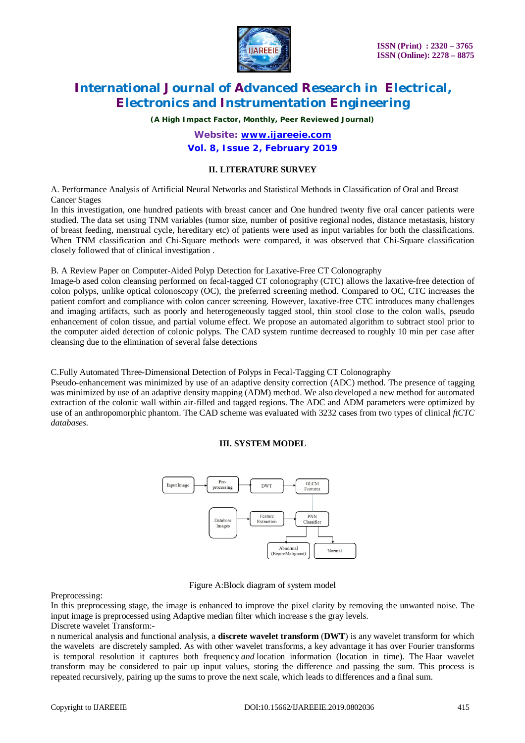

*(A High Impact Factor, Monthly, Peer Reviewed Journal)*

### *Website: [www.ijareeie.com](http://www.ijareeie.com)* **Vol. 8, Issue 2, February 2019**

#### **II. LITERATURE SURVEY**

A. Performance Analysis of Artificial Neural Networks and Statistical Methods in Classification of Oral and Breast Cancer Stages

In this investigation, one hundred patients with breast cancer and One hundred twenty five oral cancer patients were studied. The data set using TNM variables (tumor size, number of positive regional nodes, distance metastasis, history of breast feeding, menstrual cycle, hereditary etc) of patients were used as input variables for both the classifications. When TNM classification and Chi-Square methods were compared, it was observed that Chi-Square classification closely followed that of clinical investigation .

B. A Review Paper on Computer-Aided Polyp Detection for Laxative-Free CT Colonography

Image-b ased colon cleansing performed on fecal-tagged CT colonography (CTC) allows the laxative-free detection of colon polyps, unlike optical colonoscopy (OC), the preferred screening method. Compared to OC, CTC increases the patient comfort and compliance with colon cancer screening. However, laxative-free CTC introduces many challenges and imaging artifacts, such as poorly and heterogeneously tagged stool, thin stool close to the colon walls, pseudo enhancement of colon tissue, and partial volume effect. We propose an automated algorithm to subtract stool prior to the computer aided detection of colonic polyps. The CAD system runtime decreased to roughly 10 min per case after cleansing due to the elimination of several false detections

C.Fully Automated Three-Dimensional Detection of Polyps in Fecal-Tagging CT Colonography

Pseudo-enhancement was minimized by use of an adaptive density correction (ADC) method. The presence of tagging was minimized by use of an adaptive density mapping (ADM) method. We also developed a new method for automated extraction of the colonic wall within air-filled and tagged regions. The ADC and ADM parameters were optimized by use of an anthropomorphic phantom. The CAD scheme was evaluated with 3232 cases from two types of clinical *ftCTC databases.*

#### **III. SYSTEM MODEL**



Figure A:Block diagram of system model

Preprocessing:

In this preprocessing stage, the image is enhanced to improve the pixel clarity by removing the unwanted noise. The input image is preprocessed using Adaptive median filter which increase s the gray levels. Discrete wavelet Transform:-

n numerical analysis and functional analysis, a **discrete wavelet transform** (**DWT**) is any wavelet transform for which the wavelets are discretely sampled. As with other wavelet transforms, a key advantage it has over Fourier transforms is temporal resolution it captures both frequency *and* location information (location in time). The Haar wavelet transform may be considered to pair up input values, storing the difference and passing the sum. This process is repeated recursively, pairing up the sums to prove the next scale, which leads to differences and a final sum.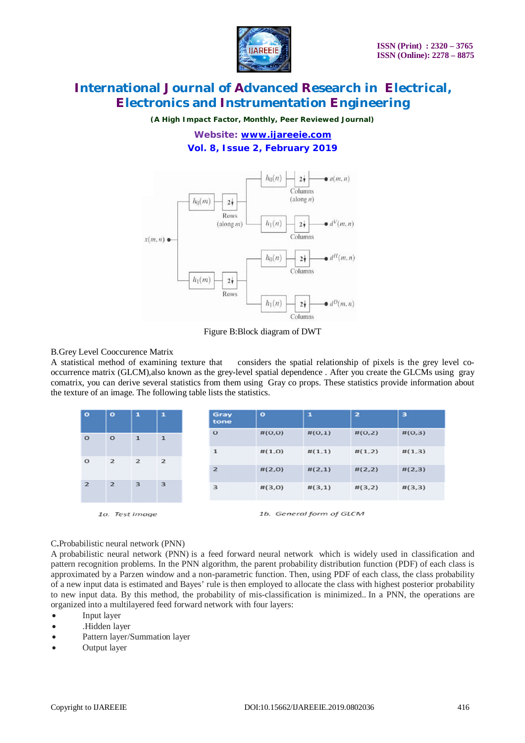

*(A High Impact Factor, Monthly, Peer Reviewed Journal)*

### *Website: [www.ijareeie.com](http://www.ijareeie.com)* **Vol. 8, Issue 2, February 2019**



Figure B:Block diagram of DWT

#### B.Grey Level Cooccurence Matrix

A statistical method of examining texture that considers the spatial relationship of pixels is the grey level cooccurrence matrix (GLCM),also known as the grey-level spatial dependence . After you create the GLCMs using gray comatrix, you can derive several statistics from them using Gray co props. These statistics provide information about the texture of an image. The following table lists the statistics.

| $\bullet$      | $\bullet$      | $\mathbf{1}$   | o              | Gray<br>tone | $\circ$ | $\mathbf{1}$ | $\overline{\mathbf{z}}$ | з      |
|----------------|----------------|----------------|----------------|--------------|---------|--------------|-------------------------|--------|
| $\circ$        | $\circ$        | $\mathbf{1}$   | $\mathbf{1}$   | $\circ$      | #(O,O)  | #(0,1)       | #(0,2)                  | #(0,3) |
| $\circ$        | $\mathbf{z}$   | $\overline{z}$ | $\overline{2}$ | $\mathbf{1}$ | #(1,0)  | #(1,1)       | #(1,2)                  | #(1,3) |
|                |                | $\mathbf{z}$   | #(2,0)         | #(2,1)       | #(2,2)  | #(2,3)       |                         |        |
| $\overline{2}$ | $\overline{2}$ | 3              | 3              | 3            | #(3,0)  | #(3,1)       | #(3,2)                  | #(3,3) |

1a. Test image

1b. General form of GLCM

C**.**Probabilistic neural network (PNN)

A probabilistic neural network (PNN) is a feed forward neural network which is widely used in classification and pattern recognition problems. In the PNN algorithm, the parent probability distribution function (PDF) of each class is approximated by a Parzen window and a non-parametric function. Then, using PDF of each class, the class probability of a new input data is estimated and Bayes' rule is then employed to allocate the class with highest posterior probability to new input data. By this method, the probability of mis-classification is minimized.. In a PNN, the operations are organized into a multilayered feed forward network with four layers:

- Input layer
- .Hidden layer
- Pattern layer/Summation layer
- Output layer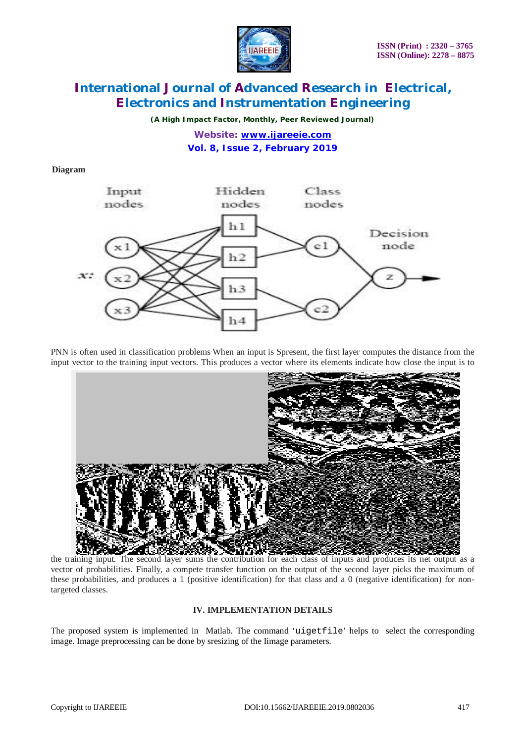

*(A High Impact Factor, Monthly, Peer Reviewed Journal)*

*Website: [www.ijareeie.com](http://www.ijareeie.com)* **Vol. 8, Issue 2, February 2019**

#### **Diagram**



PNN is often used in classification problems When an input is Spresent, the first layer computes the distance from the input vector to the training input vectors. This produces a vector where its elements indicate how close the input is to



vector of probabilities. Finally, a compete transfer function on the output of the second layer picks the maximum of these probabilities, and produces a 1 (positive identification) for that class and a 0 (negative identification) for nontargeted classes.

#### **IV. IMPLEMENTATION DETAILS**

The proposed system is implemented in Matlab. The command 'uigetfile' helps to select the corresponding image. Image preprocessing can be done by sresizing of the Iimage parameters.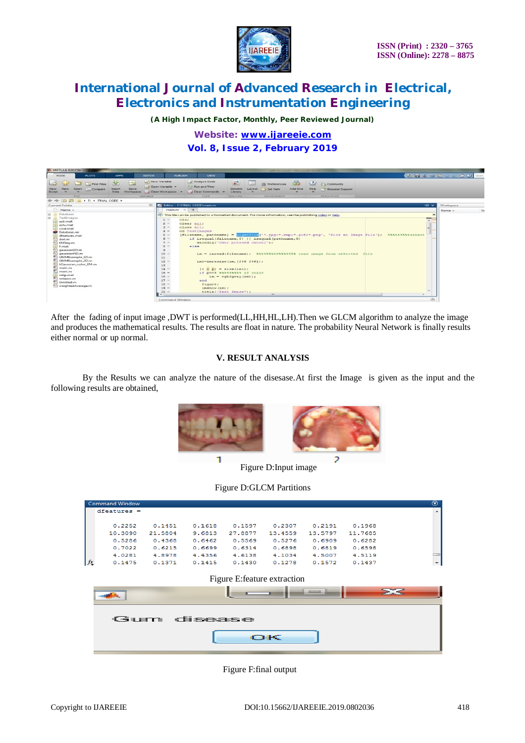

*(A High Impact Factor, Monthly, Peer Reviewed Journal)*

*Website: [www.ijareeie.com](http://www.ijareeie.com)* **Vol. 8, Issue 2, February 2019**



After the fading of input image ,DWT is performed(LL,HH,HL,LH).Then we GLCM algorithm to analyze the image and produces the mathematical results. The results are float in nature. The probability Neural Network is finally results either normal or up normal.

#### **V. RESULT ANALYSIS**

By the Results we can analyze the nature of the disesase.At first the Image is given as the input and the following results are obtained,



Figure D:Input image

| <b>Command Window</b>      |         |        |         |         |         |         | $\odot$                  |
|----------------------------|---------|--------|---------|---------|---------|---------|--------------------------|
| $dfeatures =$              |         |        |         |         |         |         | $\overline{\phantom{a}}$ |
| 0.2252                     | 0.1451  | 0.1618 | 0.1597  | 0.2307  | 0.2191  | 0.1968  |                          |
| 10.3090                    | 21.5804 | 9.6813 | 27.8877 | 13.4559 | 13.5797 | 11,7685 |                          |
| 0.5286                     | 0.4368  | 0.6462 | 0.5569  | 0.5276  | 0.6909  | 0.6282  |                          |
| 0.7022                     | 0.6215  | 0.6699 | 0.6314  | 0.6898  | 0.6819  | 0.6598  |                          |
| 4.0281                     | 4.8978  | 4.4356 | 4.6138  | 4.1034  | 4.5007  | 4.5119  |                          |
| $f_{\mathbf{x}}$<br>0.1475 | 0.1371  | 0.1415 | 0.1430  | 0.1278  | 0.1572  | 0.1437  | $\overline{\phantom{a}}$ |

#### Figure E:feature extraction

| ຼ           |
|-------------|
| Gum disease |
| <b>OK</b>   |

Figure F:final output